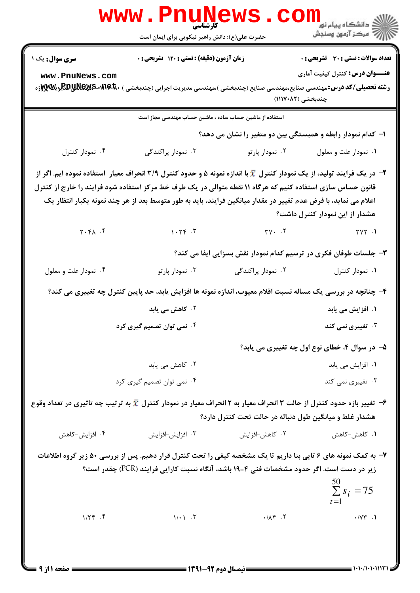|                                  |                                                          | راد دانشگاه پيام نور <mark>−</mark><br>ا∛ مرکز آزمون وسنجش                                                                                                                                                                                                                                                                                                                                                                                                                                                                                                                                                                                                                                                                                                                                                                                                                                                                                                                                                                                                                                                                                                                                                                                                                                                                                                                              |
|----------------------------------|----------------------------------------------------------|-----------------------------------------------------------------------------------------------------------------------------------------------------------------------------------------------------------------------------------------------------------------------------------------------------------------------------------------------------------------------------------------------------------------------------------------------------------------------------------------------------------------------------------------------------------------------------------------------------------------------------------------------------------------------------------------------------------------------------------------------------------------------------------------------------------------------------------------------------------------------------------------------------------------------------------------------------------------------------------------------------------------------------------------------------------------------------------------------------------------------------------------------------------------------------------------------------------------------------------------------------------------------------------------------------------------------------------------------------------------------------------------|
|                                  |                                                          | <b>تعداد سوالات : تستی : 30 ٪ تشریحی : 0</b>                                                                                                                                                                                                                                                                                                                                                                                                                                                                                                                                                                                                                                                                                                                                                                                                                                                                                                                                                                                                                                                                                                                                                                                                                                                                                                                                            |
|                                  |                                                          | <b>عنـــوان درس:</b> کنترل کیفیت آماری                                                                                                                                                                                                                                                                                                                                                                                                                                                                                                                                                                                                                                                                                                                                                                                                                                                                                                                                                                                                                                                                                                                                                                                                                                                                                                                                                  |
|                                  |                                                          | چندبخشی )۸۲۰۸۲۱)                                                                                                                                                                                                                                                                                                                                                                                                                                                                                                                                                                                                                                                                                                                                                                                                                                                                                                                                                                                                                                                                                                                                                                                                                                                                                                                                                                        |
|                                  |                                                          |                                                                                                                                                                                                                                                                                                                                                                                                                                                                                                                                                                                                                                                                                                                                                                                                                                                                                                                                                                                                                                                                                                                                                                                                                                                                                                                                                                                         |
|                                  |                                                          |                                                                                                                                                                                                                                                                                                                                                                                                                                                                                                                                                                                                                                                                                                                                                                                                                                                                                                                                                                                                                                                                                                                                                                                                                                                                                                                                                                                         |
| ۰۳ نمودار پراکندگی               | ۰۲ نمودار پارتو                                          | ۰۱ نمودار علت و معلول                                                                                                                                                                                                                                                                                                                                                                                                                                                                                                                                                                                                                                                                                                                                                                                                                                                                                                                                                                                                                                                                                                                                                                                                                                                                                                                                                                   |
|                                  |                                                          | هشدار از این نمودار کنترل داشت؟                                                                                                                                                                                                                                                                                                                                                                                                                                                                                                                                                                                                                                                                                                                                                                                                                                                                                                                                                                                                                                                                                                                                                                                                                                                                                                                                                         |
|                                  | $\forall V \cdot \cdot \cdot Y$                          | $\gamma \gamma \gamma$ .                                                                                                                                                                                                                                                                                                                                                                                                                                                                                                                                                                                                                                                                                                                                                                                                                                                                                                                                                                                                                                                                                                                                                                                                                                                                                                                                                                |
|                                  |                                                          |                                                                                                                                                                                                                                                                                                                                                                                                                                                                                                                                                                                                                                                                                                                                                                                                                                                                                                                                                                                                                                                                                                                                                                                                                                                                                                                                                                                         |
| ۰۳ نمودار پارتو                  | ۰۲ نمودار پراکندگی                                       | ٠١ نمودار كنترل                                                                                                                                                                                                                                                                                                                                                                                                                                                                                                                                                                                                                                                                                                                                                                                                                                                                                                                                                                                                                                                                                                                                                                                                                                                                                                                                                                         |
|                                  |                                                          |                                                                                                                                                                                                                                                                                                                                                                                                                                                                                                                                                                                                                                                                                                                                                                                                                                                                                                                                                                                                                                                                                                                                                                                                                                                                                                                                                                                         |
| ۰۲ کاهش می یابد                  |                                                          | ۱. افزایش می یابد                                                                                                                                                                                                                                                                                                                                                                                                                                                                                                                                                                                                                                                                                                                                                                                                                                                                                                                                                                                                                                                                                                                                                                                                                                                                                                                                                                       |
|                                  |                                                          | ۰۳ تغییری نم <i>ی</i> کند                                                                                                                                                                                                                                                                                                                                                                                                                                                                                                                                                                                                                                                                                                                                                                                                                                                                                                                                                                                                                                                                                                                                                                                                                                                                                                                                                               |
|                                  |                                                          | ۵– در سوال ۴، خطای نوع اول چه تغییری می یابد؟                                                                                                                                                                                                                                                                                                                                                                                                                                                                                                                                                                                                                                                                                                                                                                                                                                                                                                                                                                                                                                                                                                                                                                                                                                                                                                                                           |
| ۰۲ کاهش می یابد                  |                                                          | ۰۱ افزایش می یابد                                                                                                                                                                                                                                                                                                                                                                                                                                                                                                                                                                                                                                                                                                                                                                                                                                                                                                                                                                                                                                                                                                                                                                                                                                                                                                                                                                       |
|                                  |                                                          | ۰۳ تغییری نمی کند                                                                                                                                                                                                                                                                                                                                                                                                                                                                                                                                                                                                                                                                                                                                                                                                                                                                                                                                                                                                                                                                                                                                                                                                                                                                                                                                                                       |
|                                  |                                                          |                                                                                                                                                                                                                                                                                                                                                                                                                                                                                                                                                                                                                                                                                                                                                                                                                                                                                                                                                                                                                                                                                                                                                                                                                                                                                                                                                                                         |
| ۰۳ افزايش-افزايش                 | ۰۲ کاهش-افزایش                                           | ۰۱ کاهش-کاهش                                                                                                                                                                                                                                                                                                                                                                                                                                                                                                                                                                                                                                                                                                                                                                                                                                                                                                                                                                                                                                                                                                                                                                                                                                                                                                                                                                            |
| $\gamma/\cdot \gamma$ . $\gamma$ | $\cdot$ / $\Lambda$ $f$ $\cdot$ $\zeta$                  | $\sum_{i=1}^{50} s_i = 75$<br>$\cdot$ / $\vee \vee$ .1                                                                                                                                                                                                                                                                                                                                                                                                                                                                                                                                                                                                                                                                                                                                                                                                                                                                                                                                                                                                                                                                                                                                                                                                                                                                                                                                  |
|                                  | ۰۴ نمی توان تصمیم گیری کرد<br>۰۴ نمی توان تصمیم گیری کرد | www.PnuNews<br><b>کارشناسی</b><br>حضرت علی(ع): دانش راهبر نیکویی برای ایمان است<br>زمان آزمون (دقیقه) : تستی : ۱۲۰ تشریحی : ۰<br><b>رشته تحصیلی/کد درس:</b> مهندسی صنایع،مهندسی صنایع (چندبخشی )،مهندسی مدیریت اجرایی (چندبخشی ) B <b>RRِRR-MEX 5 و BPH</b> ریلا<br>استفاده از ماشین حساب ساده ، ماشین حساب مهندسی مجاز است<br>ا– کدام نمودار رابطه و همبستگی بین دو متغیر را نشان می دهد؟<br>در یک فرایند تولید، از یک نمودار کنترل $\bar{x}$ با اندازه نمونه ۵ و حدود کنترل ۳/۹ انحراف معیار ۱ستفاده نموده ایم. اگر از $\texttt{''}$<br>قانون حساس سازی استفاده کنیم که هرگاه ۱۱ نقطه متوالی در یک طرف خط مرکز استفاده شود فرایند را خارج از کنترل<br>اعلام می نماید، با فرض عدم تغییر در مقدار میانگین فرایند، باید به طور متوسط بعد از هر چند نمونه یکبار انتظار یک<br>$1.79$ . $7$<br>۳- جلسات طوفان فکری در ترسیم کدام نمودار نقش بسزایی ایفا می کند؟<br>۴- چنانچه در بررسی یک مساله نسبت اقلام معیوب، اندازه نمونه ها افزایش یابد، حد پایین کنترل چه تغییری می کند؟<br>و تغییر بازه حدود کنترل از حالت ۳ انحراف معیار به ۲ انحراف معیار در نمودار کنترل $\bar{x}$ به ترتیب چه تاثیری در تعداد وقوع $\cdot$<br>هشدار غلط و میانگین طول دنباله در حالت تحت کنترل دارد؟<br>۷- به کمک نمونه های ۶ تایی بنا داریم تا یک مشخصه کیفی را تحت کنترل قرار دهیم. پس از بررسی ۵۰ زیر گروه اطلاعات<br>زیر در دست است. اگر حدود مشخصات فنی ۴±۱۹ باشد، آنگاه نسبت کارایی فرایند (PCR) چقدر است؟ |

 $= 1.1 - (1.1.1117$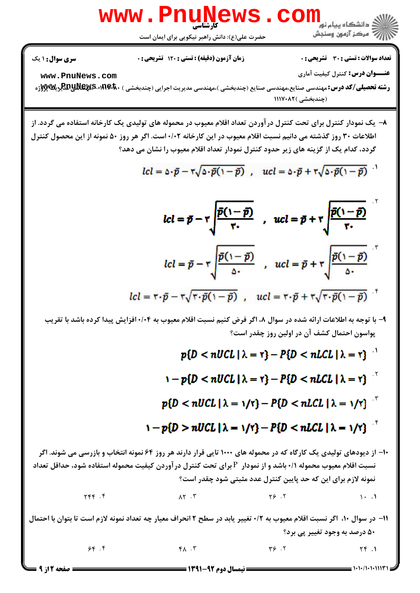

- ر**شته تحصیلی/کد درس: مه**ندسی صنایع،مهندسی صنایع (چندبخشی )،مهندسی مدیریت اجرایی (چندبخشی ) ·RAِRaِRa AR & E پر (چندبخشی )۱۱۱۷۰۸۲
- ٨− یک نمودار کنترل برای تحت کنترل درآوردن تعداد اقلام معیوب در محموله های تولیدی یک کارخانه استفاده می گردد. از اطلاعات ٣٠ روز گذشته مي دانيم نسبت اقلام معيوب در اين كارخانه ٠/٠٢ است. اگر هر روز ۵٠ نمونه از اين محصول كنترل گردد، کدام یک از گزینه های زیر حدود کنترل نمودار تعداد اقلام معیوب را نشان می دهد؟

$$
lcl = \Delta \cdot \bar{p} - \tau \sqrt{\Delta \cdot \bar{p}(1-\bar{p})} , \quad ucl = \Delta \cdot \bar{p} + \tau \sqrt{\Delta \cdot \bar{p}(1-\bar{p})}
$$

$$
lcl = \vec{p} - \vec{r} \sqrt{\frac{\vec{p}(1-\vec{p})}{\vec{r} \cdot \vec{p}}} , \quad ucl = \vec{p} + \vec{r} \sqrt{\frac{\vec{p}(1-\vec{p})}{\vec{r} \cdot \vec{p}}} lcl = \vec{p} - \vec{r} \sqrt{\frac{\vec{p}(1-\vec{p})}{\Delta \cdot \vec{p}}} , \quad ucl = \vec{p} + \vec{r} \sqrt{\frac{\vec{p}(1-\vec{p})}{\Delta \cdot \vec{p}}} lcl = \vec{r} \cdot \vec{p} - \vec{r} \sqrt{\vec{r} \cdot \vec{p}(1-\vec{p})} , \quad ucl = \vec{r} \cdot \vec{p} + \vec{r} \sqrt{\vec{r} \cdot \vec{p}(1-\vec{p})}
$$

۹– با توجه به اطلاعات ارائه شده در سوال ۸، اگر فرض کنیم نسبت اقلام معیوب به ۰/۰۴ افزایش پیدا کرده باشد با تقریب یواسون احتمال کشف آن در اولین روز چقدر است؟

$$
p\{D < nUCL \mid \lambda = r\} - P\{D < nLCL \mid \lambda = r\}^{-1}
$$
\n
$$
1 - p\{D < nUCL \mid \lambda = r\} - P\{D < nLCL \mid \lambda = r\}^{-1}
$$
\n
$$
p\{D < nUCL \mid \lambda = 1/r\} - P\{D < nLCL \mid \lambda = 1/r\}^{-1}
$$
\n
$$
1 - p\{D > nUCL \mid \lambda = 1/r\} - P\{D < nLCL \mid \lambda = 1/r\}^{-1}
$$
\n
$$
1 - p\{D > nUCL \mid \lambda = 1/r\} - P\{D < nLCL \mid \lambda = 1/r\}^{-1}
$$
\n
$$
1 - \sum_{i=1}^{n} p\{D < nUCL \mid \lambda = 1/r\} - P\{D < nLCL \mid \lambda = 1/r\}^{-1}
$$
\n
$$
1 - \sum_{i=1}^{n} p\{D\} - P\{D\} = 1 - \sum_{i=1}^{n} p\{D\} = 1 - \sum_{i=1}^{n} p\{D\} = 1 - \sum_{i=1}^{n} p\{D\} = 1 - \sum_{i=1}^{n} p\{D\} = 1 - \sum_{i=1}^{n} p\{D\} = 1 - \sum_{i=1}^{n} p\{D\} = 1 - \sum_{i=1}^{n} p\{D\} = 1 - \sum_{i=1}^{n} p\{D\} = 1 - \sum_{i=1}^{n} p\{D\} = 1 - \sum_{i=1}^{n} p\{D\} = 1 - \sum_{i=1}^{n} p\{D\} = 1 - \sum_{i=1}^{n} p\{D\} = 1 - \sum_{i=1}^{n} p\{D\} = 1 - \sum_{i=1}^{n} p\{D\} = 1 - \sum_{i=1}^{n} p\{D\} = 1 - \sum_{i=1}^{n} p\{D\} = 1 - \sum_{i=1}^{n} p\{D\} = 1 - \sum_{i=1}^{n} p\{D\} = 1 - \sum_{i=1}^{n} p\{D\} = 1 - \sum_{i=1}^{n} p\{D\} = 1 - \sum
$$

 $\mathcal{S} \mathcal{S}$  .  $\mathcal{S}$  .  $\mathcal{S}$  .  $\mathcal{S}$  .  $\mathcal{S}$  .  $\mathcal{S}$  .  $\mathcal{S}$  .  $\mathcal{S}$  .  $\mathcal{S}$  .  $\mathcal{S}$  .  $\mathcal{S}$  .  $\mathcal{S}$  .  $\mathcal{S}$  .  $\mathcal{S}$  .  $\mathcal{S}$  .  $\mathcal{S}$  .  $\mathcal{S}$  .  $\mathcal{S}$  .  $\mathcal{S}$  .  $\mathcal{S$  $A \times B$  and  $A \times B$  and  $A \times B$  and  $A \times B$  and  $A \times B$  and  $A \times B$  and  $A \times B$  and  $A \times B$  and  $A \times B$  and  $A \times B$  and  $A \times B$  and  $A \times B$  and  $A \times B$  and  $A \times B$  and  $A \times B$  and  $A \times B$  and  $A \times B$  and  $A \times B$  and  $A \times B$  and  $A \times B$  and . . . .

۵۰ درصد به وجود تغییر <u>پی</u> برد؟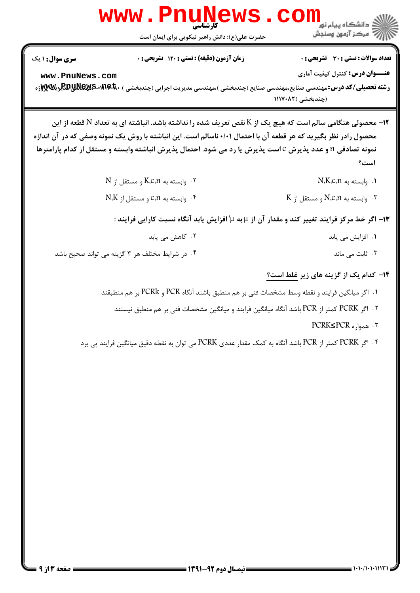|                        | <b>WWW.PNUN</b><br><b>کارشناسی</b>              |                                                                                                                                                                                                                                                                                                                                                    |
|------------------------|-------------------------------------------------|----------------------------------------------------------------------------------------------------------------------------------------------------------------------------------------------------------------------------------------------------------------------------------------------------------------------------------------------------|
|                        | حضرت علی(ع): دانش راهبر نیکویی برای ایمان است   | ڪ دانشڪاه پيام نور<br>ا∛ مرڪز آزمون وسنڊش                                                                                                                                                                                                                                                                                                          |
| <b>سری سوال : ۱ یک</b> | زمان آزمون (دقیقه) : تستی : ۱۲۰ تشریحی : 0      | تعداد سوالات : تستي : 30 - تشريحي : 0                                                                                                                                                                                                                                                                                                              |
| www.PnuNews.com        |                                                 | <b>عنــــوان درس:</b> کنترل کیفیت آماری<br><b>رشته تحصیلی/کد درس:</b> مهندسی صنایع،مهندسی صنایع (چندبخشی )،مهندسی مدیریت اجرایی (چندبخشی ) BR! <b>• BR! AR!A آپریلا) پر</b><br>(چندبخشی )۱۱۱۷۰۸۲                                                                                                                                                   |
|                        |                                                 | 1۲– محصولی هنگامی سالم است که هیچ یک از K نقص تعریف شده را نداشته باشد. انباشته ای به تعداد N قطعه از این<br>محصول رادر نظر بگیرید که هر قطعه آن با احتمال ۰/۰۱ ناسالم است. این انباشته با روش یک نمونه وصفی که در آن اندازه<br>نمونه تصادفی n و عدد پذیرش c است پذیرش یا رد می شود. احتمال پذیرش انباشته وابسته و مستقل از کدام پارامترها<br>است؟ |
|                        | N . وابسته به K,c,n و مستقل از $\cdot$ ۲        | ۰۱ وابسته به N,K,c,n                                                                                                                                                                                                                                                                                                                               |
|                        | $N$ .K وابسته به C،n و مستقل از $\cdot$         | K وابسته به N،C،n و مستقل از K                                                                                                                                                                                                                                                                                                                     |
|                        |                                                 | ۱۳- اگر خط مرکز فرایند تغییر کند و مقدار آن از µ به ψ افزایش یابد آنگاه نسبت کارایی فرایند :                                                                                                                                                                                                                                                       |
|                        | ۰۲ کاهش می یابد                                 | ۰۱ افزایش می یابد                                                                                                                                                                                                                                                                                                                                  |
|                        | ۰۴ در شرایط مختلف هر ۳ گزینه می تواند صحیح باشد | ۰۳ ثابت می ماند                                                                                                                                                                                                                                                                                                                                    |
|                        |                                                 | ۱۴- کدام یک از گزینه های زیر غلط است؟                                                                                                                                                                                                                                                                                                              |
|                        |                                                 | ۰۱ اگر میانگین فرایند و نقطه وسط مشخصات فنی بر هم منطبق باشند آنگاه PCR و PCRk بر هم منطبقند                                                                                                                                                                                                                                                       |
|                        |                                                 | ۰۲ اگر PCRK کمتر از PCR باشد آنگاه میانگین فرایند و میانگین مشخصات فنی بر هم منطبق نیستند                                                                                                                                                                                                                                                          |
|                        |                                                 | ۲. همواره PCRK≤PCR                                                                                                                                                                                                                                                                                                                                 |
|                        |                                                 | ۰۴ اگر PCRK کمتر از PCR باشد آنگاه به کمک مقدار عددی PCRK می توان به نقطه دقیق میانگین فرایند پی برد                                                                                                                                                                                                                                               |
|                        |                                                 |                                                                                                                                                                                                                                                                                                                                                    |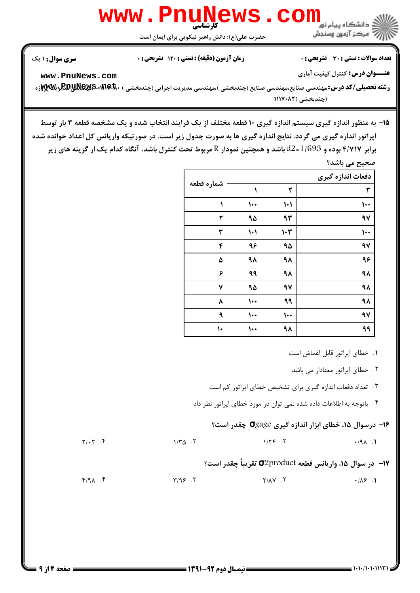

ر**شته تحصیلی/کد درس: مه**ندسی صنایع،مهندسی صنایع (چندبخشی )،مهندسی مدیریت اجرایی (چندبخشی ) ·RAِRaِRa AR & E پر (چندبخشی )۸۲۰۸۲

۱۵− به منظور اندازه گیری سیستم اندازه گیری ۱۰ قطعه مختلف از یک فرایند انتخاب شده و یک مشخصه قطعه ۳ بار توسط اپراتور اندازه گیری می گردد. نتایج اندازه گیری ها به صورت جدول زیر است. در صورتیکه واریانس کل اعداد خوانده شده برابر ۴/۷۱۷ بوده و 1/693=12 باشد و همچنین نمودار R مربوط تحت کنترل باشد، آنگاه کدام یک از گزینه های زیر

|            |                        |                             | صحیح می باشد؟     |
|------------|------------------------|-----------------------------|-------------------|
| شماره قطعه |                        |                             | دفعات اندازه گیری |
|            | ١                      | ٢                           | ٣                 |
| ١          | $\cdots$               | $\blacklozenge$             | ۱۰۰               |
| ۲          | ۹۵                     | ۹۳                          | 97                |
| ٣          | $\left  \cdot \right $ | $\mathsf{I}\cdot\mathsf{r}$ | ۱۰۰               |
| ۴          | ٩۶                     | ۹۵                          | 97                |
| ۵          | ۹٨                     | ۹۸                          | ۹۶                |
| ۶          | ۹۹                     | ٩٨                          | ٩٨                |
| ٧          | ۹۵                     | 97                          | ٩٨                |
| ٨          | $\cdots$               | ۹۹                          | ٩٨                |
| ٩          | $\cdots$               | $\cdots$                    | 97                |
| ١٠         | 100                    | ٩٨                          | ٩٩                |

۰۱ خطای اپراتور قابل اغماض است

۰۲ خطای اپراتور معنادار می باشد

۰۳ تعداد دفعات اندازه گیری برای تشخیص خطای اپراتور کم است

۴ . باتوجه به اطلاعات داده شده نمی توان در مورد خطای اپراتور نظر داد

## ۰۱۶ درسوال ۱۵، خطای ابزار اندازه گیری **O**gage چقدر است؟

| $Y/\cdot Y$ . 1 | $1/\mathcal{r} \Delta$ . $\mathcal{r}$ | $1/\gamma$ $\gamma$ .                                     | .191 |
|-----------------|----------------------------------------|-----------------------------------------------------------|------|
|                 |                                        | 17−  در سوال ۱۵، واریانس قطعه O2product تقریباً چقدر است؟ |      |

 $\mathcal{F}/\mathcal{A}$  .  $\mathcal{F}$  ,  $\mathcal{F}/\mathcal{A}$  ,  $\mathcal{F}$  ,  $\mathcal{F}/\mathcal{A}$  ,  $\mathcal{F}$  ,  $\mathcal{F}/\mathcal{A}$  ,  $\mathcal{F}$  ,  $\mathcal{F}$  ,  $\mathcal{F}/\mathcal{A}$  ,  $\mathcal{F}$  & . . . .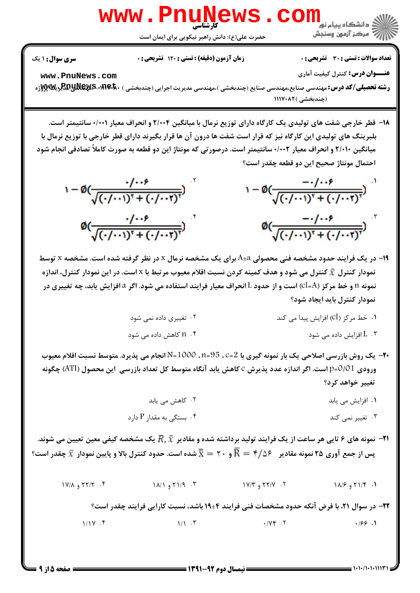

۱۸– قطر خارجی شفت های تولیدی یک کارگاه دارای توزیع نرمال با میانگین ۲/۰۰۴ و انحراف معیار ۰/۰۰۱ سانتیمتر است. بلبرینگ های تولیدی این کارگاه نیز که قرار است شفت ها درون آن ها قرار بگیرند دارای قطر خارجی با توزیع نرمال با میانگین ۲/۰۱۰ و انحراف معیار ۰/۰۰۲ سانتیمتر است. درصورتی که مونتاژ این دو قطعه به صورت کاملاً تصادفی انجام شود احتمال مونتاژ صحیح این دو قطعه چقدر است؟

$$
1 - \emptyset \left( \frac{1 \cdot \cdot \cdot \cdot}{\sqrt{(\cdot / \cdot \cdot \cdot)^{T} + (\cdot / \cdot \cdot \cdot \cdot)^{T}}}\right) \qquad 1 - \emptyset \left( \frac{-1 \cdot \cdot \cdot \cdot}{\sqrt{(\cdot / \cdot \cdot \cdot)^{T} + (\cdot / \cdot \cdot \cdot \cdot)^{T}}}\right)
$$
\n
$$
\emptyset \left( \frac{1 \cdot \cdot \cdot \cdot \cdot}{\sqrt{(\cdot / \cdot \cdot \cdot)^{T} + (\cdot / \cdot \cdot \cdot \cdot)^{T}}}\right) \qquad \emptyset \left( \frac{-1 \cdot \cdot \cdot \cdot \cdot \cdot}{\sqrt{(\cdot / \cdot \cdot \cdot)^{T} + (\cdot / \cdot \cdot \cdot \cdot)^{T}}}\right)
$$

19- در یک فرایند حدود مشخصه فنی محصولی A±a برای یک مشخصه نرمال x در نظر گرفته شده است. مشخصه x توسط نمودار کنترل  $\bar{\bm{x}}$  کنترل می شود و هدف کمینه کردن نسبت اقلام معیوب مرتبط با x است. در این نمودار کنترل، اندازه نمونه n و خط مركز (Cl=A) است و از حدود L انحراف معيار فرايند استفاده مي شود. اگر a افزايش يابد، چه تغييري در نمودار کنترل باید ایجاد شود؟

(چندبخشی) ۱۱۱۷۰۸۲

- ۲۰- یک روش بازرسی اصلاحی یک بار نمونه گیری با 2=C ، 35=n ، 1000=N انجام می پذیرد. متوسط نسبت اقلام معیوب ورودي 0/01=p=0/01 است. اگر اندازه عدد پذيرش C كاهش يابد آنگاه متوسط كل تعداد بازرسي اين محصول (ATI) چگونه تغيير خواهد كرد؟
	- ۰۲ کاهش می یابد ۰۱ افزایش می یابد
	- ۰۴ بستگی به مقدار  $P$  دارد ۰۳ تغییر نمی کند
- لا— نمونه های ۶ تایی هر ساعت از یک فرایند تولید برداشته شده و مقادیر  $\bar{x}$  یک مشخصه کیفی معین تعیین می شوند. یس از جمع آوری ۲۵ نمونه مقادیر  $\bar{\text{R}}=\bar{\text{t}}-\bar{\text{R}}=1$  و ۲۰ $\bar{\text{x}}=\bar{\text{x}}$ شده است. حدود کنترل بالا و پایین نمودار  $\bar{\text{x}}$  چقدر است؟
	- $1Y/A$   $9 Y/Y$ .  $9 Y$  $N/\lambda$  و ۱۸/۱ و ۱۸/۱  $1Y/Y$   $\theta$   $5Y/Y$   $.7$ 1.  $71/5$  و ۱۸/۶

**۲۲**- در سوال ۲۱، با فرض آنکه حدود مشخصات فنی فرایند ۴±۱۹ باشد، نسبت کارایی فرایند چقدر است؟

 $1/1Y$ . ۴  $1/1.5$  $\cdot$  / $\vee$   $\in$  .  $\vee$  $.199.1$ 

صفحه 5 از 9 =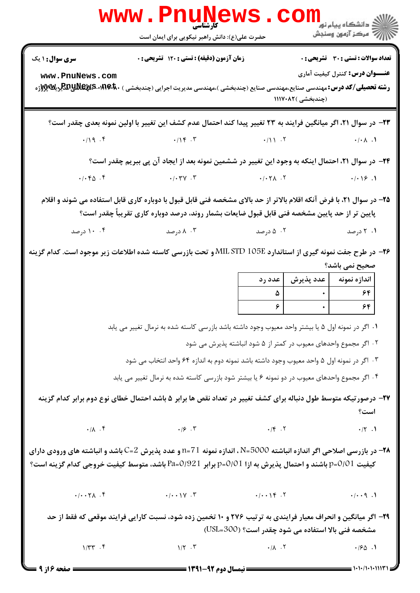|                                     | www.PnuNews.cc                                                                                                                                                                                                                      |                                                                  |                   | دانشگاه پيام نور<br>ا <mark>⊗</mark> مرکز آزمون وسنجش |
|-------------------------------------|-------------------------------------------------------------------------------------------------------------------------------------------------------------------------------------------------------------------------------------|------------------------------------------------------------------|-------------------|-------------------------------------------------------|
|                                     | حضرت علی(ع): دانش راهبر نیکویی برای ایمان است                                                                                                                                                                                       |                                                                  |                   |                                                       |
| <b>سری سوال :</b> ۱ یک              | زمان آزمون (دقیقه) : تستی : ۱۲۰ تشریحی : ۰                                                                                                                                                                                          |                                                                  |                   | تعداد سوالات : تستي : 30 - تشريحي : 0                 |
| www.PnuNews.com                     | <b>رشته تحصیلی/کد درس:</b> مهندسی صنایع،مهندسی صنایع (چندبخشی )،مهندسی مدیریت اجرایی (چندبخشی ) B <b>RRِRRِR-۱۹۱۴۰-Bxپر</b> یک                                                                                                      |                                                                  | (چندبخشی )۱۱۱۷۰۸۲ | <b>عنـــوان درس:</b> کنترل کیفیت آماری                |
|                                     | ۲۳– در سوال ۲۱، اگر میانگین فرایند به ۲۳ تغییر پیدا کند احتمال عدم کشف این تغییر با اولین نمونه بعدی چقدر است؟                                                                                                                      |                                                                  |                   |                                                       |
|                                     | $\cdot$ /19. F $\cdot$ /16. T                                                                                                                                                                                                       |                                                                  |                   |                                                       |
|                                     | ۲۴– در سوال ۲۱، احتمال اینکه به وجود این تغییر در ششمین نمونه بعد از ایجاد آن پی ببریم چقدر است؟                                                                                                                                    |                                                                  |                   |                                                       |
| $\cdot/\cdot$ $\uparrow$ $\uparrow$ | $-(.96 - 1)$                                                                                                                                                                                                                        |                                                                  |                   |                                                       |
|                                     | ۲۵– در سوال ۲۱، با فرض آنکه اقلام بالاتر از حد بالای مشخصه فنی قابل قبول با دوباره کاری قابل استفاده می شوند و اقلام<br>پایین تر از حد پایین مشخصه فنی قابل قبول ضایعات بشمار روند، درصد دوباره کاری تقریباً چقدر است؟              |                                                                  |                   |                                                       |
| ۰۴ درصد                             | درصد $\lambda$ . ۳ $\lambda$                                                                                                                                                                                                        | ۰۲ تا ۵ درصد                                                     |                   | ۰۱ درصد                                               |
|                                     | ۲۶− در طرح جفت نمونه گیری از استاندارد MIL STD 105E و تحت بازرسی کاسته شده اطلاعات زیر موجود است. کدام گزینه                                                                                                                        |                                                                  |                   |                                                       |
|                                     |                                                                                                                                                                                                                                     | عدد رد                                                           | عدد پذيرش         | صحیح نمی باشد؟<br>اندازه نمونه                        |
|                                     |                                                                                                                                                                                                                                     | ۵                                                                | $\bullet$         | ۶۴                                                    |
|                                     |                                                                                                                                                                                                                                     | $\mathcal{S}$                                                    |                   | ۶۴                                                    |
|                                     | ٠١ اگر در نمونه اول ۵ یا بیشتر واحد معیوب وجود داشته باشد بازرسی کاسته شده به نرمال تغییر می یابد                                                                                                                                   |                                                                  |                   |                                                       |
|                                     |                                                                                                                                                                                                                                     | ۰۲ اگر مجموع واحدهای معیوب در کمتر از ۵ شود انباشته پذیرش می شود |                   |                                                       |
|                                     | ۰۳ اگر در نمونه اول ۵ واحد معیوب وجود داشته باشد نمونه دوم به اندازه ۶۴ واحد انتخاب می شود                                                                                                                                          |                                                                  |                   |                                                       |
|                                     | ۰۴ اگر مجموع واحدهای معیوب در دو نمونه ۶ یا بیشتر شود بازرسی کاسته شده به نرمال تغییر می یابد                                                                                                                                       |                                                                  |                   |                                                       |
|                                     | ۲۷– درصورتیکه متوسط طول دنباله برای کشف تغییر در تعداد نقص ها برابر ۵ باشد احتمال خطای نوع دوم برابر کدام گزینه                                                                                                                     |                                                                  |                   | است؟                                                  |
|                                     |                                                                                                                                                                                                                                     |                                                                  |                   | $\cdot$ /۲.1                                          |
|                                     | <b>۳۸</b> – در بازرسی اصلاحی اگر اندازه انباشته N=5000 ، اندازه نمونه 11=1 و عدد پذیرش C=2 باشد و انباشته های ورودی دارای<br>کیفیت p=0/01 باشند و احتمال پذیرش به ازا p=0/01 برابر Pa=0/921 باشد، متوسط کیفیت خروجی کدام گزینه است؟ |                                                                  |                   |                                                       |
|                                     | $(1.9.1)$ $(1.9.1)$ $(1.9.1)$ $(1.9.1)$ $(1.9.1)$ $(1.9.1)$ $(1.9.1)$                                                                                                                                                               |                                                                  |                   |                                                       |
|                                     | ۲۹- اگر میانگین و انحراف معیار فرایندی به ترتیب ۲۷۶ و ۱۰ تخمین زده شود، نسبت کارایی فرایند موقعی که فقط از حد                                                                                                                       | مشخصه فنی بالا استفاده می شود چقدر است؟ (USL=300)                |                   |                                                       |
| $1/\gamma\gamma$ .                  | $1/\Upsilon$ $\cdot \Upsilon$ $\cdot \Delta$                                                                                                                                                                                        |                                                                  |                   | .180.1                                                |
| <b>= صفحه ۱۶ز ۹</b>                 |                                                                                                                                                                                                                                     |                                                                  |                   |                                                       |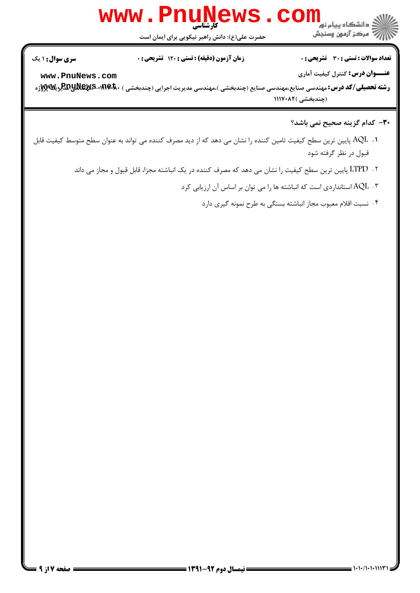

حضرت علي(ع): دانش راهبر نيكويي براي ايمان است

تعداد سوالات : تستي تشريحي زمان آزمون (دقيقه) : تستي تشريحي سري سوال ' & ): &\*): ) (): : :

**عنـــوان درس:** کنترل کیفیت آماری

**[www.PnuNews.com](http://pnunews.com)**

ر**شته تحصیلی/کد درس: مه**ندسی صنایع،مهندسی صنایع (چندبخشی )،مهندسی مدیریت اجرایی (چندبخشی ) ·RAِRaِRa AR & E پر (چندبخشی )۱۱۱۷۰۸۲

## **٣٠**- كدام گزينه صحيح نمي باشد؟

- ا . AQL پایین ترین سطح کیفیت تامین کننده را نشان می دهد که از دید مصرف کننده می تواند به عنوان سطح متوسط کیفیت قابل قبول در نظر گرفته شود
	- ۰۲ LTPD پایین ترین سطح کیفیت را نشان می دهد که مصرف کننده در یک انباشته مجزا، قابل قبول و مجاز می داند
		- ۰۳ AQL استانداردی است که انباشته ها را می توان بر اساس آن ارزیابی کرد
			- ۴ . نسبت اقلام معيوب مجاز انباشته بستگي به طرح نمونه گيري دارد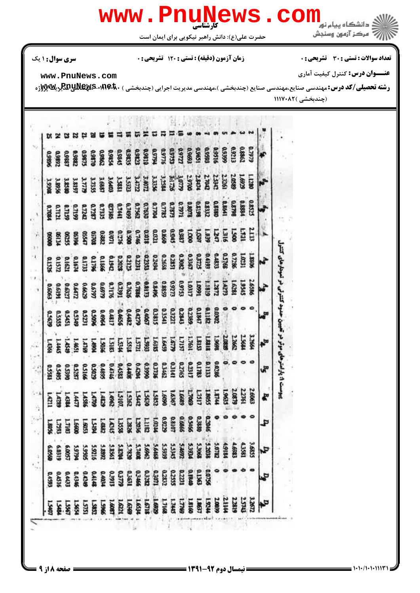

## تعداد سوالات : تستي تشريحي زمان آزمون (دقيقه) : تستي تشريحي سري سوال ' & ): &\*): ) (): : :

حضرت علي(ع): دانش راهبر نيكويي براي ايمان است

كارشناسي **[www.PnuNews.com](http://pnunews.com)**

دانشگاه بیام